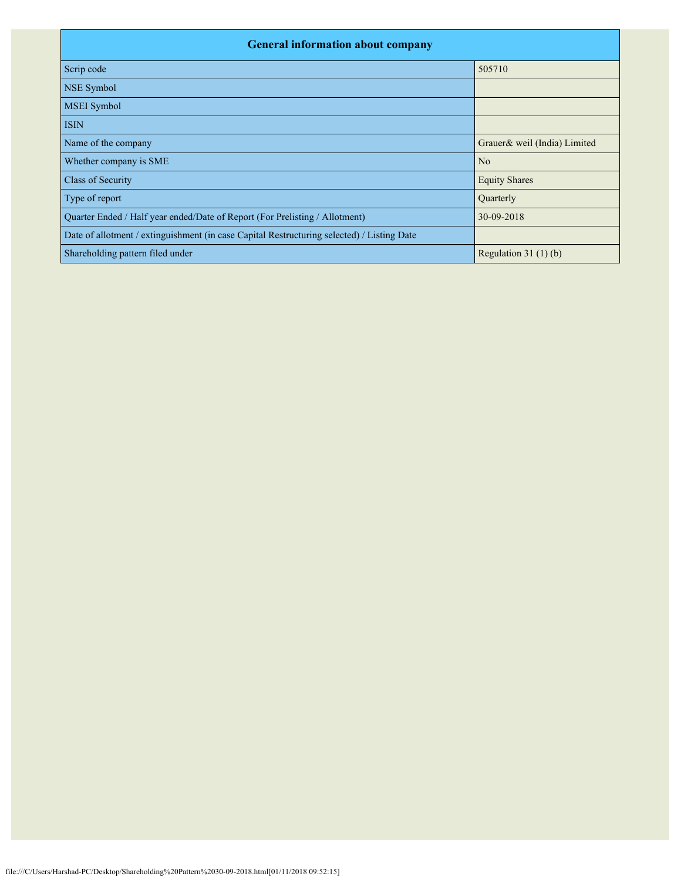| <b>General information about company</b>                                                   |                              |  |  |  |  |  |  |
|--------------------------------------------------------------------------------------------|------------------------------|--|--|--|--|--|--|
| Scrip code                                                                                 | 505710                       |  |  |  |  |  |  |
| NSE Symbol                                                                                 |                              |  |  |  |  |  |  |
| MSEI Symbol                                                                                |                              |  |  |  |  |  |  |
| <b>ISIN</b>                                                                                |                              |  |  |  |  |  |  |
| Name of the company                                                                        | Grauer& weil (India) Limited |  |  |  |  |  |  |
| Whether company is SME                                                                     | N <sub>o</sub>               |  |  |  |  |  |  |
| Class of Security                                                                          | <b>Equity Shares</b>         |  |  |  |  |  |  |
| Type of report                                                                             | Quarterly                    |  |  |  |  |  |  |
| Quarter Ended / Half year ended/Date of Report (For Prelisting / Allotment)                | 30-09-2018                   |  |  |  |  |  |  |
| Date of allotment / extinguishment (in case Capital Restructuring selected) / Listing Date |                              |  |  |  |  |  |  |
| Shareholding pattern filed under                                                           | Regulation $31(1)(b)$        |  |  |  |  |  |  |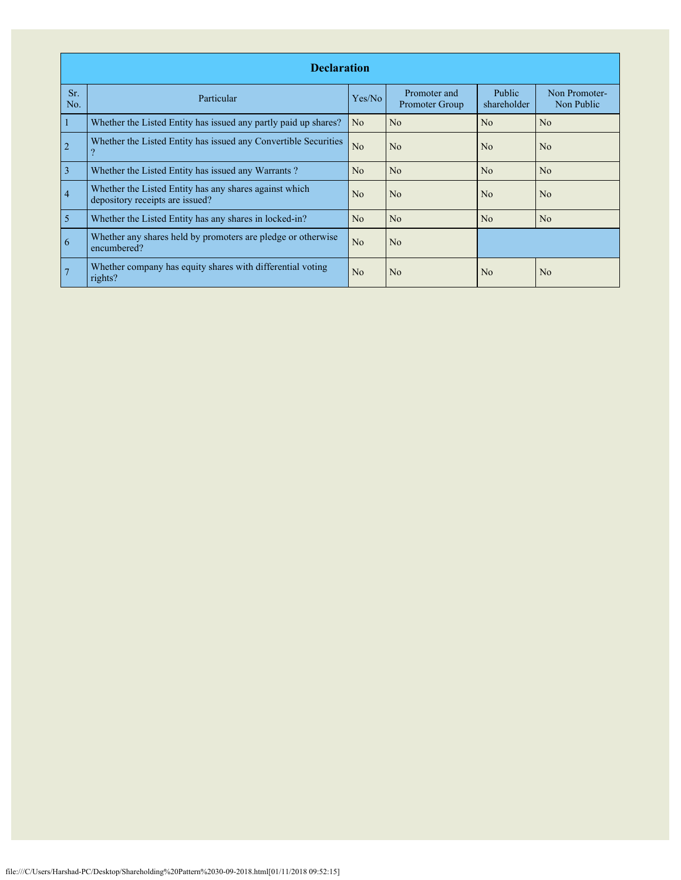|                | <b>Declaration</b>                                                                        |                |                                |                       |                             |  |  |  |  |  |  |
|----------------|-------------------------------------------------------------------------------------------|----------------|--------------------------------|-----------------------|-----------------------------|--|--|--|--|--|--|
| Sr.<br>No.     | Particular                                                                                | Yes/No         | Promoter and<br>Promoter Group | Public<br>shareholder | Non Promoter-<br>Non Public |  |  |  |  |  |  |
| 1              | Whether the Listed Entity has issued any partly paid up shares?                           | N <sub>o</sub> | No                             | N <sub>o</sub>        | N <sub>0</sub>              |  |  |  |  |  |  |
| $\overline{2}$ | Whether the Listed Entity has issued any Convertible Securities<br>$\mathcal{P}$          | No             | No                             | No                    | No                          |  |  |  |  |  |  |
| $\overline{3}$ | Whether the Listed Entity has issued any Warrants?                                        | N <sub>o</sub> | N <sub>o</sub>                 | N <sub>o</sub>        | N <sub>o</sub>              |  |  |  |  |  |  |
| $\overline{4}$ | Whether the Listed Entity has any shares against which<br>depository receipts are issued? | N <sub>0</sub> | No                             | N <sub>0</sub>        | N <sub>0</sub>              |  |  |  |  |  |  |
| $\overline{5}$ | Whether the Listed Entity has any shares in locked-in?                                    | N <sub>o</sub> | No                             | No                    | No                          |  |  |  |  |  |  |
| 6              | Whether any shares held by promoters are pledge or otherwise<br>encumbered?               | N <sub>o</sub> | N <sub>o</sub>                 |                       |                             |  |  |  |  |  |  |
|                | Whether company has equity shares with differential voting<br>rights?                     | N <sub>o</sub> | No                             | No                    | N <sub>o</sub>              |  |  |  |  |  |  |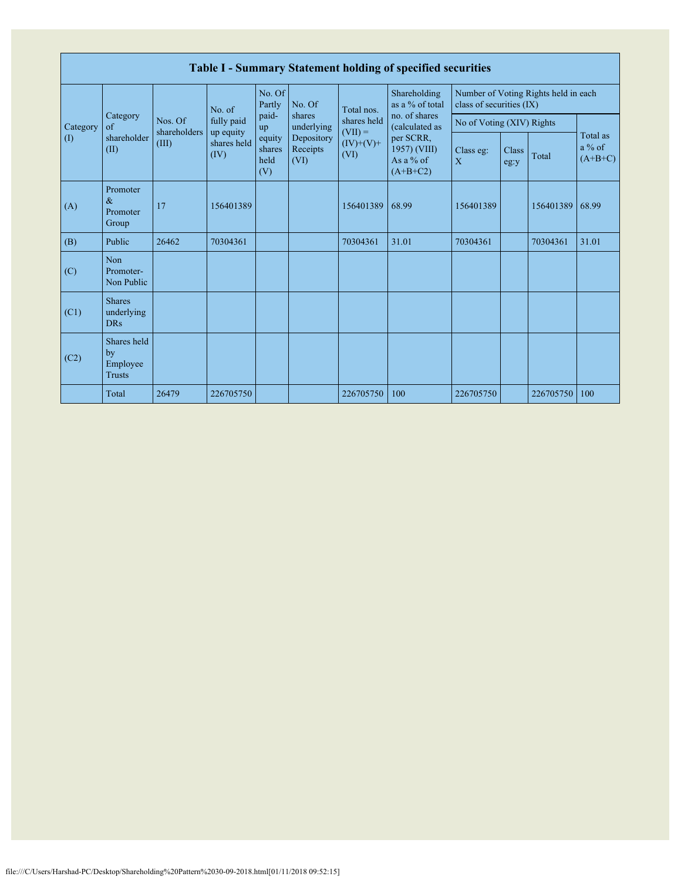|                            | Table I - Summary Statement holding of specified securities |                         |                         |                                 |                                                                  |                                                 |                                                      |                           |               |                                      |                                   |  |  |  |
|----------------------------|-------------------------------------------------------------|-------------------------|-------------------------|---------------------------------|------------------------------------------------------------------|-------------------------------------------------|------------------------------------------------------|---------------------------|---------------|--------------------------------------|-----------------------------------|--|--|--|
|                            |                                                             |                         | No. of                  | No. Of<br>Partly                | No. Of<br>shares<br>underlying<br>Depository<br>Receipts<br>(VI) | Total nos.                                      | Shareholding<br>as a % of total                      | class of securities (IX)  |               | Number of Voting Rights held in each |                                   |  |  |  |
| Category                   | Category<br>of<br>shareholder<br>(II)                       | Nos. Of<br>shareholders | fully paid<br>up equity | paid-<br>up                     |                                                                  | shares held<br>$(VII) =$<br>$(IV)+(V)+$<br>(VI) | no. of shares<br>(calculated as                      | No of Voting (XIV) Rights |               |                                      |                                   |  |  |  |
| $\left( \mathrm{I}\right)$ |                                                             | (III)                   | shares held<br>(IV)     | equity<br>shares<br>held<br>(V) |                                                                  |                                                 | per SCRR,<br>1957) (VIII)<br>As a % of<br>$(A+B+C2)$ | Class eg:<br>$\mathbf{X}$ | Class<br>eg:y | Total                                | Total as<br>$a\%$ of<br>$(A+B+C)$ |  |  |  |
| (A)                        | Promoter<br>$\&$<br>Promoter<br>Group                       | 17                      | 156401389               |                                 |                                                                  | 156401389                                       | 68.99                                                | 156401389                 |               | 156401389                            | 68.99                             |  |  |  |
| (B)                        | Public                                                      | 26462                   | 70304361                |                                 |                                                                  | 70304361                                        | 31.01                                                | 70304361                  |               | 70304361                             | 31.01                             |  |  |  |
| (C)                        | Non<br>Promoter-<br>Non Public                              |                         |                         |                                 |                                                                  |                                                 |                                                      |                           |               |                                      |                                   |  |  |  |
| (C1)                       | <b>Shares</b><br>underlying<br><b>DRs</b>                   |                         |                         |                                 |                                                                  |                                                 |                                                      |                           |               |                                      |                                   |  |  |  |
| (C2)                       | Shares held<br>by<br>Employee<br><b>Trusts</b>              |                         |                         |                                 |                                                                  |                                                 |                                                      |                           |               |                                      |                                   |  |  |  |
|                            | Total                                                       | 26479                   | 226705750               |                                 |                                                                  | 226705750                                       | 100                                                  | 226705750                 |               | 226705750                            | 100                               |  |  |  |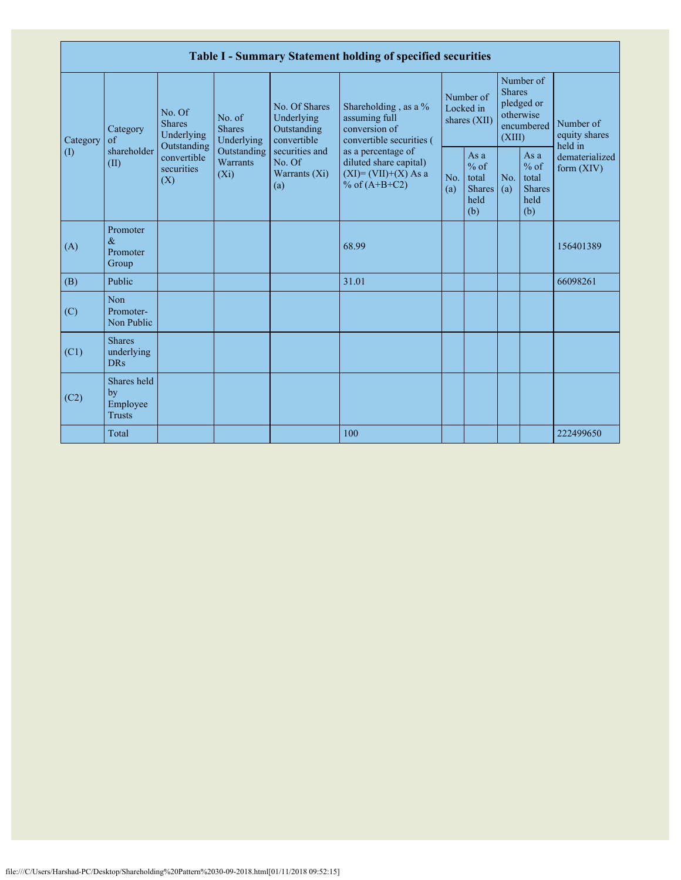|                 |                                                |                                                      |                                                                             |                                                           | Table I - Summary Statement holding of specified securities                              |            |                                                         |                         |                                                         |                                                                         |
|-----------------|------------------------------------------------|------------------------------------------------------|-----------------------------------------------------------------------------|-----------------------------------------------------------|------------------------------------------------------------------------------------------|------------|---------------------------------------------------------|-------------------------|---------------------------------------------------------|-------------------------------------------------------------------------|
| Category<br>(1) | Category<br>of<br>shareholder<br>(II)          | No. Of<br><b>Shares</b><br>Underlying<br>Outstanding | No. of<br><b>Shares</b><br>Underlying<br>Outstanding<br>Warrants<br>$(X_i)$ | No. Of Shares<br>Underlying<br>Outstanding<br>convertible | Shareholding, as a %<br>assuming full<br>conversion of<br>convertible securities (       |            | Number of<br>Locked in<br>shares (XII)                  | <b>Shares</b><br>(XIII) | Number of<br>pledged or<br>otherwise<br>encumbered      | Number of<br>equity shares<br>held in<br>dematerialized<br>form $(XIV)$ |
|                 |                                                | convertible<br>securities<br>(X)                     |                                                                             | securities and<br>No. Of<br>Warrants $(X_i)$<br>(a)       | as a percentage of<br>diluted share capital)<br>$(XI)=(VII)+(X) As a$<br>% of $(A+B+C2)$ | No.<br>(a) | As a<br>$%$ of<br>total<br><b>Shares</b><br>held<br>(b) | No.<br>(a)              | As a<br>$%$ of<br>total<br><b>Shares</b><br>held<br>(b) |                                                                         |
| (A)             | Promoter<br>$\&$<br>Promoter<br>Group          |                                                      |                                                                             |                                                           | 68.99                                                                                    |            |                                                         |                         |                                                         | 156401389                                                               |
| (B)             | Public                                         |                                                      |                                                                             |                                                           | 31.01                                                                                    |            |                                                         |                         |                                                         | 66098261                                                                |
| (C)             | Non<br>Promoter-<br>Non Public                 |                                                      |                                                                             |                                                           |                                                                                          |            |                                                         |                         |                                                         |                                                                         |
| (C1)            | <b>Shares</b><br>underlying<br><b>DRs</b>      |                                                      |                                                                             |                                                           |                                                                                          |            |                                                         |                         |                                                         |                                                                         |
| (C2)            | Shares held<br>by<br>Employee<br><b>Trusts</b> |                                                      |                                                                             |                                                           |                                                                                          |            |                                                         |                         |                                                         |                                                                         |
|                 | Total                                          |                                                      |                                                                             |                                                           | 100                                                                                      |            |                                                         |                         |                                                         | 222499650                                                               |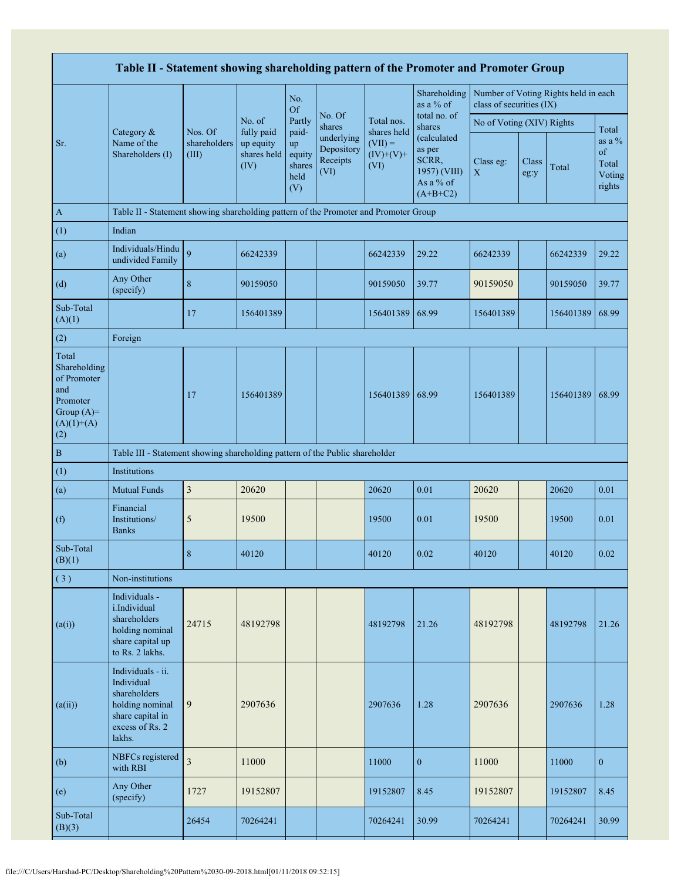| Table II - Statement showing shareholding pattern of the Promoter and Promoter Group           |                                                                                                                     |                                  |                                                |                                                |                                              |                                  |                                                                           |                           |               |                                      |                                             |
|------------------------------------------------------------------------------------------------|---------------------------------------------------------------------------------------------------------------------|----------------------------------|------------------------------------------------|------------------------------------------------|----------------------------------------------|----------------------------------|---------------------------------------------------------------------------|---------------------------|---------------|--------------------------------------|---------------------------------------------|
|                                                                                                |                                                                                                                     |                                  |                                                | No.<br><b>Of</b>                               |                                              |                                  | Shareholding<br>as a % of                                                 | class of securities (IX)  |               | Number of Voting Rights held in each |                                             |
|                                                                                                | Category &<br>Name of the<br>Shareholders (I)                                                                       |                                  | No. of                                         | Partly                                         | No. Of<br>shares                             | Total nos.<br>shares held        | total no. of<br>shares                                                    | No of Voting (XIV) Rights |               |                                      | Total                                       |
| Sr.                                                                                            |                                                                                                                     | Nos. Of<br>shareholders<br>(III) | fully paid<br>up equity<br>shares held<br>(IV) | paid-<br>up<br>equity<br>shares<br>held<br>(V) | underlying<br>Depository<br>Receipts<br>(VI) | $(VII) =$<br>$(IV)+(V)+$<br>(VI) | (calculated<br>as per<br>SCRR,<br>1957) (VIII)<br>As a % of<br>$(A+B+C2)$ | Class eg:<br>$\mathbf X$  | Class<br>eg:y | Total                                | as a $%$<br>of<br>Total<br>Voting<br>rights |
| $\mathbf{A}$                                                                                   | Table II - Statement showing shareholding pattern of the Promoter and Promoter Group                                |                                  |                                                |                                                |                                              |                                  |                                                                           |                           |               |                                      |                                             |
| (1)                                                                                            | Indian                                                                                                              |                                  |                                                |                                                |                                              |                                  |                                                                           |                           |               |                                      |                                             |
| (a)                                                                                            | Individuals/Hindu<br>undivided Family                                                                               | 9                                | 66242339                                       |                                                |                                              | 66242339                         | 29.22                                                                     | 66242339                  |               | 66242339                             | 29.22                                       |
| (d)                                                                                            | Any Other<br>(specify)                                                                                              | 8                                | 90159050                                       |                                                |                                              | 90159050                         | 39.77                                                                     | 90159050                  |               | 90159050                             | 39.77                                       |
| Sub-Total<br>(A)(1)                                                                            |                                                                                                                     | 17                               | 156401389                                      |                                                |                                              | 156401389                        | 68.99                                                                     | 156401389                 |               | 156401389 68.99                      |                                             |
| (2)                                                                                            | Foreign                                                                                                             |                                  |                                                |                                                |                                              |                                  |                                                                           |                           |               |                                      |                                             |
| Total<br>Shareholding<br>of Promoter<br>and<br>Promoter<br>Group $(A)=$<br>$(A)(1)+(A)$<br>(2) |                                                                                                                     | 17                               | 156401389                                      |                                                |                                              | 156401389                        | 68.99                                                                     | 156401389                 |               | 156401389 68.99                      |                                             |
| $\, {\bf B}$                                                                                   | Table III - Statement showing shareholding pattern of the Public shareholder                                        |                                  |                                                |                                                |                                              |                                  |                                                                           |                           |               |                                      |                                             |
| (1)                                                                                            | Institutions                                                                                                        |                                  |                                                |                                                |                                              |                                  |                                                                           |                           |               |                                      |                                             |
| (a)                                                                                            | <b>Mutual Funds</b>                                                                                                 | $\mathfrak{Z}$                   | 20620                                          |                                                |                                              | 20620                            | 0.01                                                                      | 20620                     |               | 20620                                | 0.01                                        |
| (f)                                                                                            | Financial<br>Institutions/<br><b>Banks</b>                                                                          | 5                                | 19500                                          |                                                |                                              | 19500                            | 0.01                                                                      | 19500                     |               | 19500                                | 0.01                                        |
| Sub-Total<br>(B)(1)                                                                            |                                                                                                                     | 8                                | 40120                                          |                                                |                                              | 40120                            | 0.02                                                                      | 40120                     |               | 40120                                | 0.02                                        |
| (3)                                                                                            | Non-institutions                                                                                                    |                                  |                                                |                                                |                                              |                                  |                                                                           |                           |               |                                      |                                             |
| (a(i))                                                                                         | Individuals -<br>i.Individual<br>shareholders<br>holding nominal<br>share capital up<br>to Rs. 2 lakhs.             | 24715                            | 48192798                                       |                                                |                                              | 48192798                         | 21.26                                                                     | 48192798                  |               | 48192798                             | 21.26                                       |
| (a(ii))                                                                                        | Individuals - ii.<br>Individual<br>shareholders<br>holding nominal<br>share capital in<br>excess of Rs. 2<br>lakhs. | 9                                | 2907636                                        |                                                |                                              | 2907636                          | 1.28                                                                      | 2907636                   |               | 2907636                              | 1.28                                        |
| (b)                                                                                            | NBFCs registered<br>with RBI                                                                                        | $\overline{\mathbf{3}}$          | 11000                                          |                                                |                                              | 11000                            | $\mathbf{0}$                                                              | 11000                     |               | 11000                                | $\overline{0}$                              |
| (e)                                                                                            | Any Other<br>(specify)                                                                                              | 1727                             | 19152807                                       |                                                |                                              | 19152807                         | 8.45                                                                      | 19152807                  |               | 19152807                             | 8.45                                        |
| Sub-Total<br>(B)(3)                                                                            |                                                                                                                     | 26454                            | 70264241                                       |                                                |                                              | 70264241                         | 30.99                                                                     | 70264241                  |               | 70264241                             | 30.99                                       |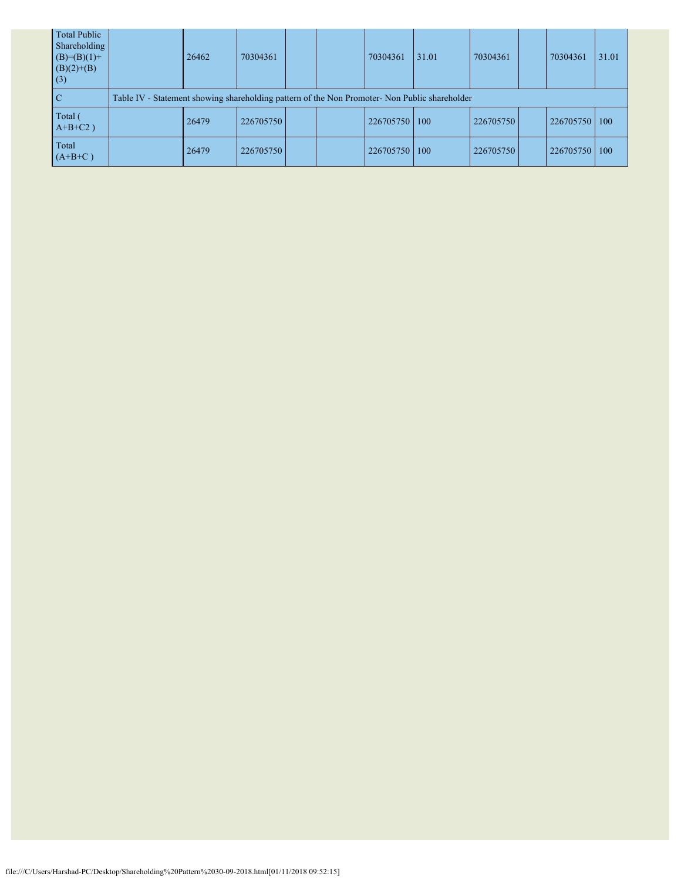| <b>Total Public</b><br>Shareholding<br>$(B)=(B)(1)+$<br>$(B)(2)+(B)$<br>(3) | 26462                                                                                         | 70304361  |  |  | 70304361  | 31.01 | 70304361  |  | 70304361  | 31.01 |  |
|-----------------------------------------------------------------------------|-----------------------------------------------------------------------------------------------|-----------|--|--|-----------|-------|-----------|--|-----------|-------|--|
| <sup>-</sup> C                                                              | Table IV - Statement showing shareholding pattern of the Non Promoter- Non Public shareholder |           |  |  |           |       |           |  |           |       |  |
| Total (<br>$A+B+C2$ )                                                       | 26479                                                                                         | 226705750 |  |  | 226705750 | 100   | 226705750 |  | 226705750 | 100   |  |
| Total<br>$(A+B+C)$                                                          | 26479                                                                                         | 226705750 |  |  | 226705750 | 100   | 226705750 |  | 226705750 | 100   |  |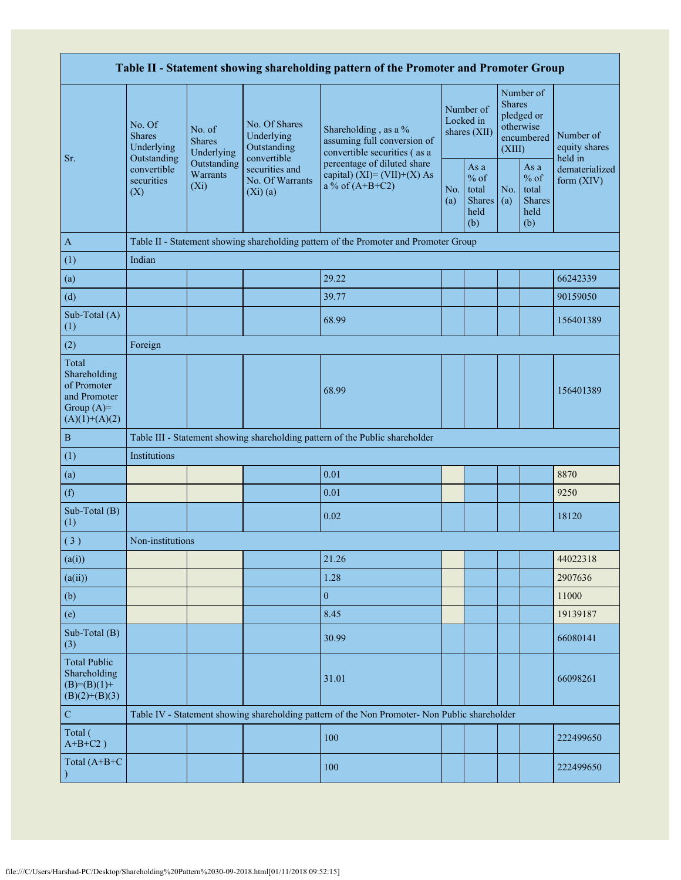| Table II - Statement showing shareholding pattern of the Promoter and Promoter Group    |                                                 |                                       |                                                             |                                                                                               |                                        |                                                  |                                                                               |                                                         |                                       |  |  |
|-----------------------------------------------------------------------------------------|-------------------------------------------------|---------------------------------------|-------------------------------------------------------------|-----------------------------------------------------------------------------------------------|----------------------------------------|--------------------------------------------------|-------------------------------------------------------------------------------|---------------------------------------------------------|---------------------------------------|--|--|
|                                                                                         | No. Of<br><b>Shares</b><br>Underlying           | No. of<br><b>Shares</b><br>Underlying | No. Of Shares<br>Underlying<br>Outstanding                  | Shareholding, as a %<br>assuming full conversion of<br>convertible securities (as a           | Number of<br>Locked in<br>shares (XII) |                                                  | Number of<br><b>Shares</b><br>pledged or<br>otherwise<br>encumbered<br>(XIII) |                                                         | Number of<br>equity shares<br>held in |  |  |
| Sr.                                                                                     | Outstanding<br>convertible<br>securities<br>(X) | Outstanding<br>Warrants<br>$(X_i)$    | convertible<br>securities and<br>No. Of Warrants<br>(Xi)(a) | percentage of diluted share<br>capital) $(XI) = (VII)+(X) As$<br>a % of $(A+B+C2)$            | No.<br>(a)                             | As a<br>$%$ of<br>total<br>Shares<br>held<br>(b) | No.<br>(a)                                                                    | As a<br>$%$ of<br>total<br><b>Shares</b><br>held<br>(b) | dematerialized<br>form (XIV)          |  |  |
| $\mathbf{A}$                                                                            |                                                 |                                       |                                                             | Table II - Statement showing shareholding pattern of the Promoter and Promoter Group          |                                        |                                                  |                                                                               |                                                         |                                       |  |  |
| (1)                                                                                     | Indian                                          |                                       |                                                             |                                                                                               |                                        |                                                  |                                                                               |                                                         |                                       |  |  |
| (a)                                                                                     |                                                 |                                       |                                                             | 29.22                                                                                         |                                        |                                                  |                                                                               |                                                         | 66242339                              |  |  |
| (d)                                                                                     |                                                 |                                       |                                                             | 39.77                                                                                         |                                        |                                                  |                                                                               |                                                         | 90159050                              |  |  |
| Sub-Total (A)<br>(1)                                                                    |                                                 |                                       |                                                             | 68.99                                                                                         |                                        |                                                  |                                                                               |                                                         | 156401389                             |  |  |
| (2)                                                                                     | Foreign                                         |                                       |                                                             |                                                                                               |                                        |                                                  |                                                                               |                                                         |                                       |  |  |
| Total<br>Shareholding<br>of Promoter<br>and Promoter<br>Group $(A)=$<br>$(A)(1)+(A)(2)$ |                                                 |                                       |                                                             | 68.99                                                                                         |                                        |                                                  |                                                                               |                                                         | 156401389                             |  |  |
| $\, {\bf B}$                                                                            |                                                 |                                       |                                                             | Table III - Statement showing shareholding pattern of the Public shareholder                  |                                        |                                                  |                                                                               |                                                         |                                       |  |  |
| (1)                                                                                     | Institutions                                    |                                       |                                                             |                                                                                               |                                        |                                                  |                                                                               |                                                         |                                       |  |  |
| (a)                                                                                     |                                                 |                                       |                                                             | 0.01                                                                                          |                                        |                                                  |                                                                               |                                                         | 8870                                  |  |  |
| (f)                                                                                     |                                                 |                                       |                                                             | 0.01                                                                                          |                                        |                                                  |                                                                               |                                                         | 9250                                  |  |  |
| Sub-Total (B)<br>(1)                                                                    |                                                 |                                       |                                                             | 0.02                                                                                          |                                        |                                                  |                                                                               |                                                         | 18120                                 |  |  |
| (3)                                                                                     | Non-institutions                                |                                       |                                                             |                                                                                               |                                        |                                                  |                                                                               |                                                         |                                       |  |  |
| (a(i))                                                                                  |                                                 |                                       |                                                             | 21.26                                                                                         |                                        |                                                  |                                                                               |                                                         | 44022318                              |  |  |
| (a(ii))                                                                                 |                                                 |                                       |                                                             | 1.28                                                                                          |                                        |                                                  |                                                                               |                                                         | 2907636                               |  |  |
| (b)                                                                                     |                                                 |                                       |                                                             | $\overline{0}$                                                                                |                                        |                                                  |                                                                               |                                                         | 11000                                 |  |  |
| (e)                                                                                     |                                                 |                                       |                                                             | 8.45                                                                                          |                                        |                                                  |                                                                               |                                                         | 19139187                              |  |  |
| Sub-Total (B)<br>(3)                                                                    |                                                 |                                       |                                                             | 30.99                                                                                         |                                        |                                                  |                                                                               |                                                         | 66080141                              |  |  |
| <b>Total Public</b><br>Shareholding<br>$(B)= (B)(1) +$<br>$(B)(2)+(B)(3)$               |                                                 |                                       |                                                             | 31.01                                                                                         |                                        |                                                  |                                                                               |                                                         | 66098261                              |  |  |
| ${\bf C}$                                                                               |                                                 |                                       |                                                             | Table IV - Statement showing shareholding pattern of the Non Promoter- Non Public shareholder |                                        |                                                  |                                                                               |                                                         |                                       |  |  |
| Total (<br>$A+B+C2$ )                                                                   |                                                 |                                       |                                                             | 100                                                                                           |                                        |                                                  |                                                                               |                                                         | 222499650                             |  |  |
| Total (A+B+C                                                                            |                                                 |                                       |                                                             | 100                                                                                           |                                        |                                                  |                                                                               |                                                         | 222499650                             |  |  |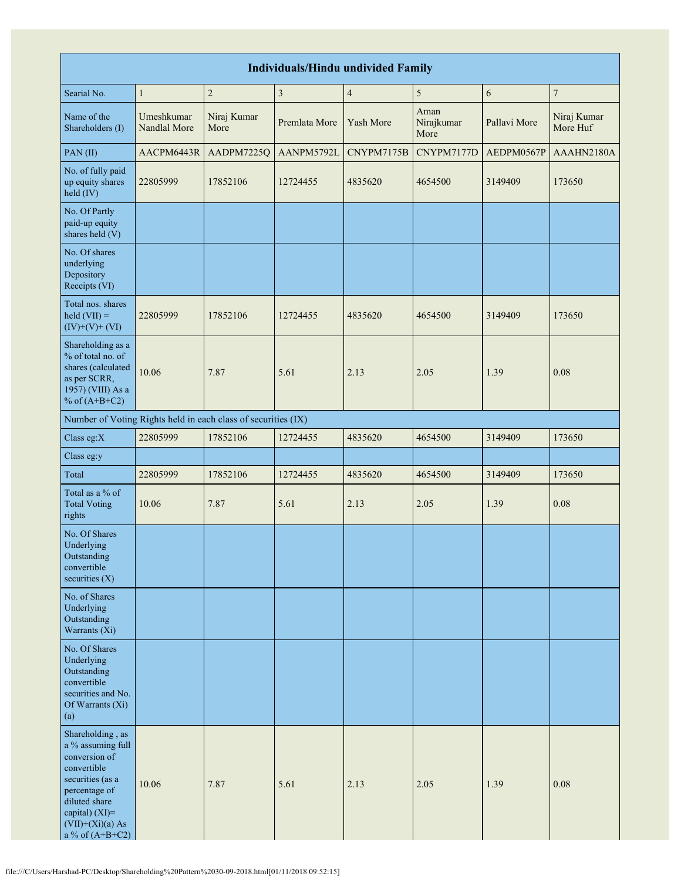| <b>Individuals/Hindu undivided Family</b>                                                                                                                                                |                            |                     |               |                |                            |              |                         |  |  |  |  |  |
|------------------------------------------------------------------------------------------------------------------------------------------------------------------------------------------|----------------------------|---------------------|---------------|----------------|----------------------------|--------------|-------------------------|--|--|--|--|--|
| Searial No.                                                                                                                                                                              | $\mathbf{1}$               | $\overline{2}$      | 3             | $\overline{4}$ | 5                          | 6            | 7                       |  |  |  |  |  |
| Name of the<br>Shareholders (I)                                                                                                                                                          | Umeshkumar<br>Nandlal More | Niraj Kumar<br>More | Premlata More | Yash More      | Aman<br>Nirajkumar<br>More | Pallavi More | Niraj Kumar<br>More Huf |  |  |  |  |  |
| PAN(II)                                                                                                                                                                                  | AACPM6443R                 | AADPM7225Q          | AANPM5792L    | CNYPM7175B     | CNYPM7177D                 | AEDPM0567P   | AAAHN2180A              |  |  |  |  |  |
| No. of fully paid<br>up equity shares<br>held (IV)                                                                                                                                       | 22805999                   | 17852106            | 12724455      | 4835620        | 4654500                    | 3149409      | 173650                  |  |  |  |  |  |
| No. Of Partly<br>paid-up equity<br>shares held (V)                                                                                                                                       |                            |                     |               |                |                            |              |                         |  |  |  |  |  |
| No. Of shares<br>underlying<br>Depository<br>Receipts (VI)                                                                                                                               |                            |                     |               |                |                            |              |                         |  |  |  |  |  |
| Total nos. shares<br>$\text{held (VII)} =$<br>$(IV)+(V)+(VI)$                                                                                                                            | 22805999                   | 17852106            | 12724455      | 4835620        | 4654500                    | 3149409      | 173650                  |  |  |  |  |  |
| Shareholding as a<br>% of total no. of<br>shares (calculated<br>as per SCRR,<br>1957) (VIII) As a<br>% of $(A+B+C2)$                                                                     | 10.06                      | 7.87                | 5.61          | 2.13           | 2.05                       | 1.39         | 0.08                    |  |  |  |  |  |
| Number of Voting Rights held in each class of securities (IX)                                                                                                                            |                            |                     |               |                |                            |              |                         |  |  |  |  |  |
| Class eg:X                                                                                                                                                                               | 22805999                   | 17852106            | 12724455      | 4835620        | 4654500                    | 3149409      | 173650                  |  |  |  |  |  |
| Class eg:y                                                                                                                                                                               |                            |                     |               |                |                            |              |                         |  |  |  |  |  |
| Total                                                                                                                                                                                    | 22805999                   | 17852106            | 12724455      | 4835620        | 4654500                    | 3149409      | 173650                  |  |  |  |  |  |
| Total as a % of<br><b>Total Voting</b><br>rights                                                                                                                                         | 10.06                      | 7.87                | 5.61          | 2.13           | 2.05                       | 1.39         | 0.08                    |  |  |  |  |  |
| No. Of Shares<br>Underlying<br>Outstanding<br>convertible<br>securities $(X)$                                                                                                            |                            |                     |               |                |                            |              |                         |  |  |  |  |  |
| No. of Shares<br>Underlying<br>Outstanding<br>Warrants (Xi)                                                                                                                              |                            |                     |               |                |                            |              |                         |  |  |  |  |  |
| No. Of Shares<br>Underlying<br>Outstanding<br>convertible<br>securities and No.<br>Of Warrants (Xi)<br>(a)                                                                               |                            |                     |               |                |                            |              |                         |  |  |  |  |  |
| Shareholding, as<br>a % assuming full<br>conversion of<br>convertible<br>securities (as a<br>percentage of<br>diluted share<br>capital) (XI)=<br>$(VII)+(Xi)(a) As$<br>a % of $(A+B+C2)$ | 10.06                      | 7.87                | 5.61          | 2.13           | 2.05                       | 1.39         | 0.08                    |  |  |  |  |  |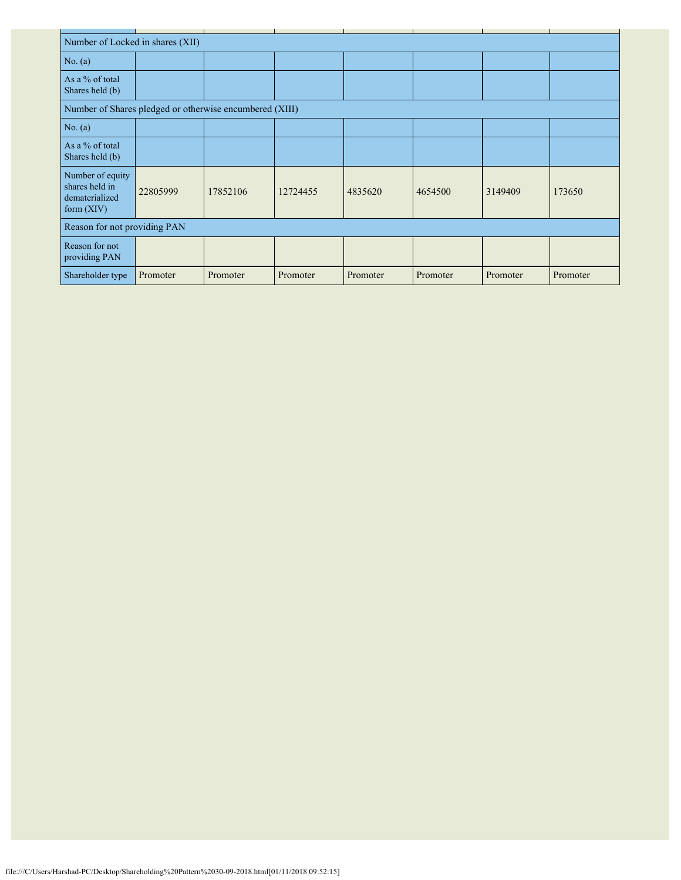| Number of Locked in shares (XII)                                     |                              |          |          |          |          |          |          |  |  |  |  |
|----------------------------------------------------------------------|------------------------------|----------|----------|----------|----------|----------|----------|--|--|--|--|
| No. $(a)$                                                            |                              |          |          |          |          |          |          |  |  |  |  |
| As a % of total<br>Shares held (b)                                   |                              |          |          |          |          |          |          |  |  |  |  |
| Number of Shares pledged or otherwise encumbered (XIII)              |                              |          |          |          |          |          |          |  |  |  |  |
| No. $(a)$                                                            |                              |          |          |          |          |          |          |  |  |  |  |
| As a % of total<br>Shares held (b)                                   |                              |          |          |          |          |          |          |  |  |  |  |
| Number of equity<br>shares held in<br>dematerialized<br>form $(XIV)$ | 22805999                     | 17852106 | 12724455 | 4835620  | 4654500  | 3149409  | 173650   |  |  |  |  |
|                                                                      | Reason for not providing PAN |          |          |          |          |          |          |  |  |  |  |
| Reason for not<br>providing PAN                                      |                              |          |          |          |          |          |          |  |  |  |  |
| Shareholder type                                                     | Promoter                     | Promoter | Promoter | Promoter | Promoter | Promoter | Promoter |  |  |  |  |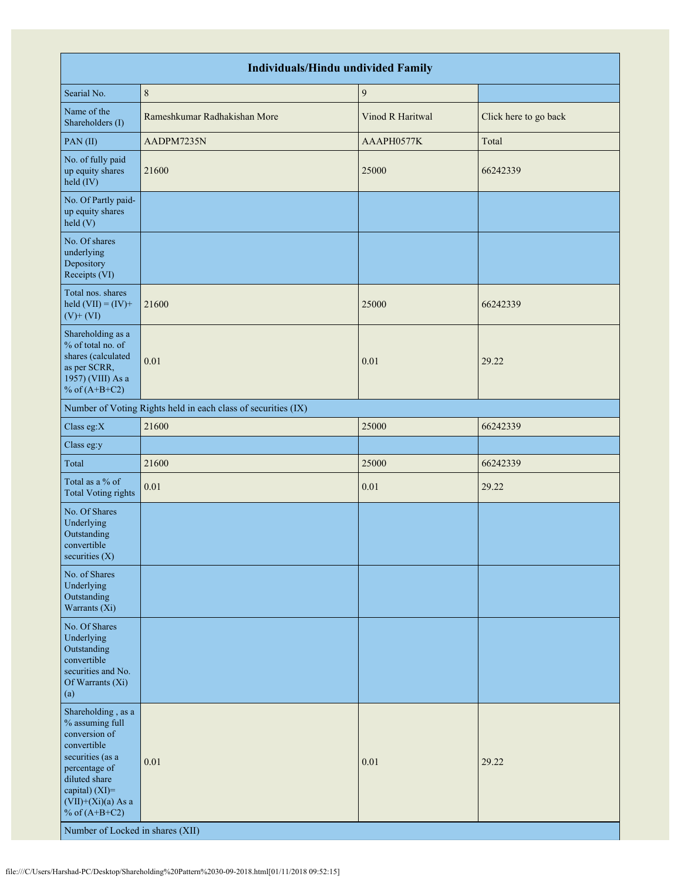| <b>Individuals/Hindu undivided Family</b>                                                                                                                                                                                    |                                                               |                  |                       |  |  |  |  |  |  |  |
|------------------------------------------------------------------------------------------------------------------------------------------------------------------------------------------------------------------------------|---------------------------------------------------------------|------------------|-----------------------|--|--|--|--|--|--|--|
| Searial No.                                                                                                                                                                                                                  | $\,$ $\,$                                                     | $\boldsymbol{9}$ |                       |  |  |  |  |  |  |  |
| Name of the<br>Shareholders (I)                                                                                                                                                                                              | Rameshkumar Radhakishan More                                  | Vinod R Haritwal | Click here to go back |  |  |  |  |  |  |  |
| PAN(II)                                                                                                                                                                                                                      | AADPM7235N                                                    | AAAPH0577K       | Total                 |  |  |  |  |  |  |  |
| No. of fully paid<br>up equity shares<br>held (IV)                                                                                                                                                                           | 21600                                                         | 25000            | 66242339              |  |  |  |  |  |  |  |
| No. Of Partly paid-<br>up equity shares<br>held (V)                                                                                                                                                                          |                                                               |                  |                       |  |  |  |  |  |  |  |
| No. Of shares<br>underlying<br>Depository<br>Receipts (VI)                                                                                                                                                                   |                                                               |                  |                       |  |  |  |  |  |  |  |
| Total nos. shares<br>held $(VII) = (IV) +$<br>$(V)$ + $(VI)$                                                                                                                                                                 | 21600                                                         | 25000            | 66242339              |  |  |  |  |  |  |  |
| Shareholding as a<br>% of total no. of<br>shares (calculated<br>as per SCRR,<br>1957) (VIII) As a<br>% of $(A+B+C2)$                                                                                                         | 0.01                                                          | 0.01             | 29.22                 |  |  |  |  |  |  |  |
|                                                                                                                                                                                                                              | Number of Voting Rights held in each class of securities (IX) |                  |                       |  |  |  |  |  |  |  |
| Class eg:X                                                                                                                                                                                                                   | 21600                                                         | 25000            | 66242339              |  |  |  |  |  |  |  |
| Class eg:y                                                                                                                                                                                                                   |                                                               |                  |                       |  |  |  |  |  |  |  |
| Total                                                                                                                                                                                                                        | 21600                                                         | 25000            | 66242339              |  |  |  |  |  |  |  |
| Total as a % of<br><b>Total Voting rights</b>                                                                                                                                                                                | 0.01                                                          | $0.01\,$         | 29.22                 |  |  |  |  |  |  |  |
| No. Of Shares<br>Underlying<br>Outstanding<br>convertible<br>securities $(X)$                                                                                                                                                |                                                               |                  |                       |  |  |  |  |  |  |  |
| No. of Shares<br>Underlying<br>Outstanding<br>Warrants (Xi)                                                                                                                                                                  |                                                               |                  |                       |  |  |  |  |  |  |  |
| No. Of Shares<br>Underlying<br>Outstanding<br>convertible<br>securities and No.<br>Of Warrants (Xi)<br>(a)                                                                                                                   |                                                               |                  |                       |  |  |  |  |  |  |  |
| Shareholding, as a<br>% assuming full<br>conversion of<br>convertible<br>securities (as a<br>percentage of<br>diluted share<br>capital) (XI)=<br>$(VII)+(Xi)(a)$ As a<br>% of $(A+B+C2)$<br>Number of Locked in shares (XII) | 0.01                                                          | 0.01             | 29.22                 |  |  |  |  |  |  |  |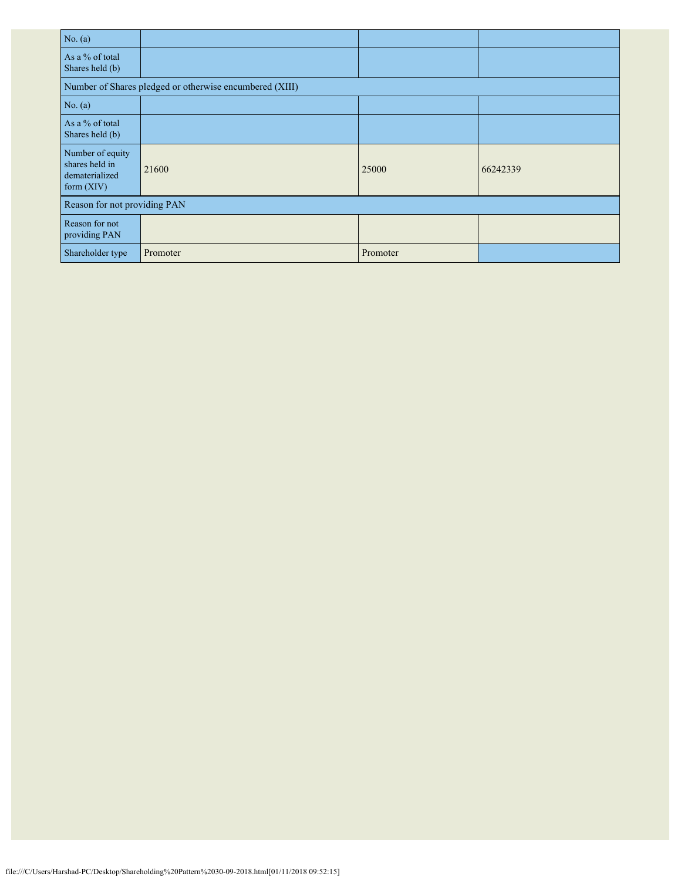| No. $(a)$                                                          |                                                         |          |          |
|--------------------------------------------------------------------|---------------------------------------------------------|----------|----------|
| As a % of total<br>Shares held (b)                                 |                                                         |          |          |
|                                                                    | Number of Shares pledged or otherwise encumbered (XIII) |          |          |
| No. $(a)$                                                          |                                                         |          |          |
| As a % of total<br>Shares held (b)                                 |                                                         |          |          |
| Number of equity<br>shares held in<br>dematerialized<br>form (XIV) | 21600                                                   | 25000    | 66242339 |
| Reason for not providing PAN                                       |                                                         |          |          |
| Reason for not<br>providing PAN                                    |                                                         |          |          |
| Shareholder type                                                   | Promoter                                                | Promoter |          |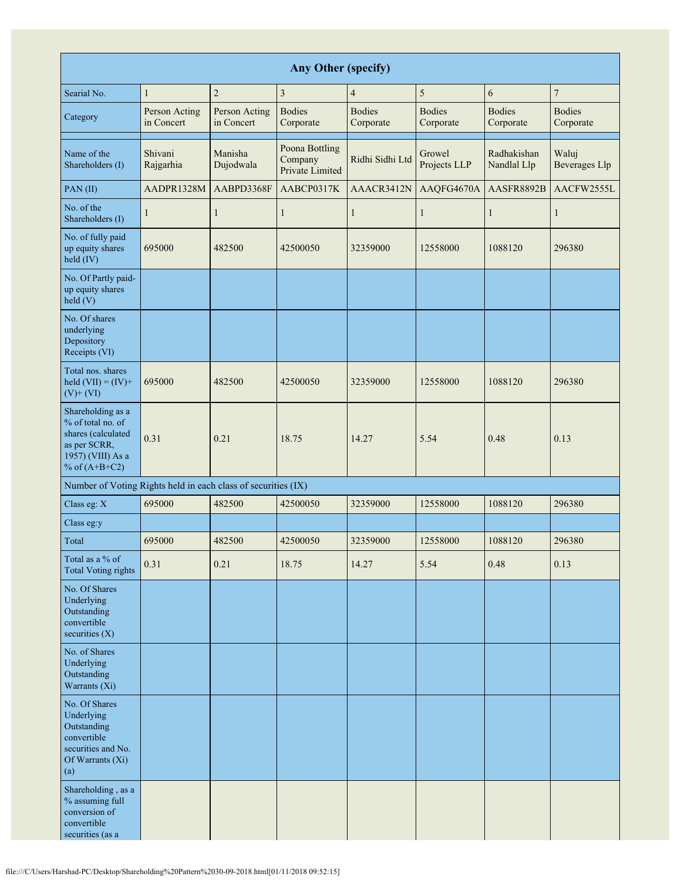| <b>Any Other (specify)</b>                                                                                           |                             |                             |                                              |                            |                            |                            |                               |  |  |  |  |
|----------------------------------------------------------------------------------------------------------------------|-----------------------------|-----------------------------|----------------------------------------------|----------------------------|----------------------------|----------------------------|-------------------------------|--|--|--|--|
| Searial No.                                                                                                          | $\mathbf{1}$                | $\overline{c}$              | $\overline{\mathbf{3}}$                      | $\overline{4}$             | 5                          | 6                          | $\boldsymbol{7}$              |  |  |  |  |
| Category                                                                                                             | Person Acting<br>in Concert | Person Acting<br>in Concert | <b>Bodies</b><br>Corporate                   | <b>Bodies</b><br>Corporate | <b>Bodies</b><br>Corporate | <b>Bodies</b><br>Corporate | <b>Bodies</b><br>Corporate    |  |  |  |  |
| Name of the<br>Shareholders (I)                                                                                      | Shivani<br>Rajgarhia        | Manisha<br>Dujodwala        | Poona Bottling<br>Company<br>Private Limited | Ridhi Sidhi Ltd            | Growel<br>Projects LLP     | Radhakishan<br>Nandlal Llp | Waluj<br><b>Beverages Llp</b> |  |  |  |  |
| PAN(II)                                                                                                              | AADPR1328M                  | AABPD3368F                  | AABCP0317K                                   | AAACR3412N                 | AAQFG4670A                 | AASFR8892B                 | AACFW2555L                    |  |  |  |  |
| No. of the<br>Shareholders (I)                                                                                       | 1                           | $\mathbf{1}$                | 1                                            | $\mathbf{1}$               | 1                          | $\mathbf{1}$               | $\mathbf{1}$                  |  |  |  |  |
| No. of fully paid<br>up equity shares<br>held (IV)                                                                   | 695000                      | 482500                      | 42500050                                     | 32359000                   | 12558000                   | 1088120                    | 296380                        |  |  |  |  |
| No. Of Partly paid-<br>up equity shares<br>held (V)                                                                  |                             |                             |                                              |                            |                            |                            |                               |  |  |  |  |
| No. Of shares<br>underlying<br>Depository<br>Receipts (VI)                                                           |                             |                             |                                              |                            |                            |                            |                               |  |  |  |  |
| Total nos. shares<br>held $(VII) = (IV) +$<br>$(V)$ + $(VI)$                                                         | 695000                      | 482500                      | 42500050                                     | 32359000                   | 12558000                   | 1088120                    | 296380                        |  |  |  |  |
| Shareholding as a<br>% of total no. of<br>shares (calculated<br>as per SCRR,<br>1957) (VIII) As a<br>% of $(A+B+C2)$ | 0.31                        | 0.21                        | 18.75                                        | 14.27                      | 5.54                       | 0.48                       | 0.13                          |  |  |  |  |
| Number of Voting Rights held in each class of securities (IX)                                                        |                             |                             |                                              |                            |                            |                            |                               |  |  |  |  |
| Class eg: X                                                                                                          | 695000                      | 482500                      | 42500050                                     | 32359000                   | 12558000                   | 1088120                    | 296380                        |  |  |  |  |
| Class eg:y                                                                                                           |                             |                             |                                              |                            |                            |                            |                               |  |  |  |  |
| Total                                                                                                                | 695000                      | 482500                      | 42500050                                     | 32359000                   | 12558000                   | 1088120                    | 296380                        |  |  |  |  |
| Total as a % of<br><b>Total Voting rights</b>                                                                        | 0.31                        | 0.21                        | 18.75                                        | 14.27                      | 5.54                       | 0.48                       | 0.13                          |  |  |  |  |
| No. Of Shares<br>Underlying<br>Outstanding<br>convertible<br>securities (X)                                          |                             |                             |                                              |                            |                            |                            |                               |  |  |  |  |
| No. of Shares<br>Underlying<br>Outstanding<br>Warrants (Xi)                                                          |                             |                             |                                              |                            |                            |                            |                               |  |  |  |  |
| No. Of Shares<br>Underlying<br>Outstanding<br>convertible<br>securities and No.<br>Of Warrants (Xi)<br>(a)           |                             |                             |                                              |                            |                            |                            |                               |  |  |  |  |
| Shareholding, as a<br>% assuming full<br>conversion of<br>convertible<br>securities (as a                            |                             |                             |                                              |                            |                            |                            |                               |  |  |  |  |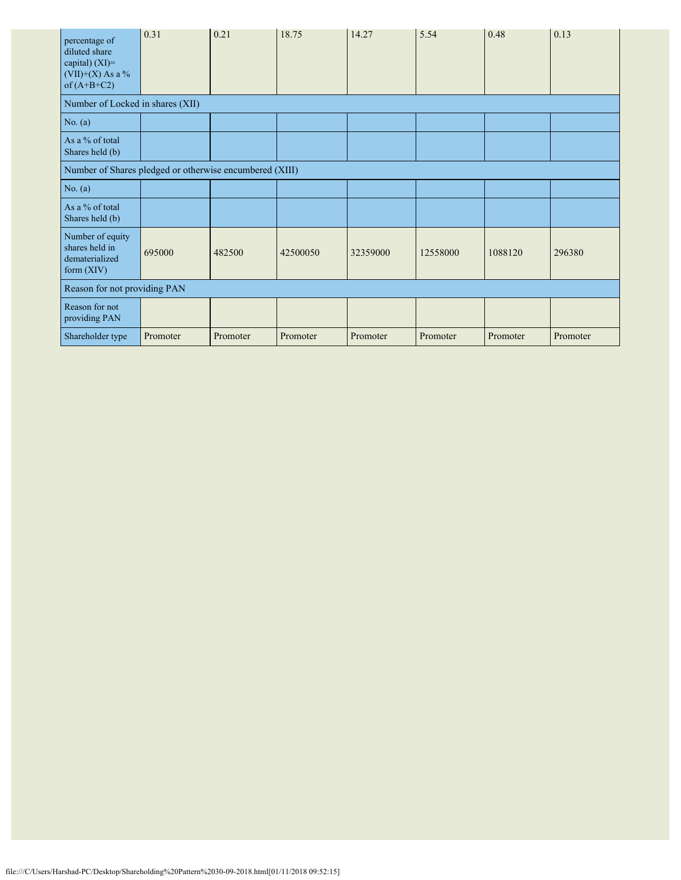| percentage of<br>diluted share<br>capital) $(XI)=$<br>$(VII)+(X)$ As a %<br>of $(A+B+C2)$ | 0.31     | 0.21     | 18.75    | 14.27    | 5.54     | 0.48     | 0.13     |
|-------------------------------------------------------------------------------------------|----------|----------|----------|----------|----------|----------|----------|
| Number of Locked in shares (XII)                                                          |          |          |          |          |          |          |          |
| No. (a)                                                                                   |          |          |          |          |          |          |          |
| As a % of total<br>Shares held (b)                                                        |          |          |          |          |          |          |          |
| Number of Shares pledged or otherwise encumbered (XIII)                                   |          |          |          |          |          |          |          |
| No. (a)                                                                                   |          |          |          |          |          |          |          |
| As a % of total<br>Shares held (b)                                                        |          |          |          |          |          |          |          |
| Number of equity<br>shares held in<br>dematerialized<br>form $(XIV)$                      | 695000   | 482500   | 42500050 | 32359000 | 12558000 | 1088120  | 296380   |
| Reason for not providing PAN                                                              |          |          |          |          |          |          |          |
| Reason for not<br>providing PAN                                                           |          |          |          |          |          |          |          |
| Shareholder type                                                                          | Promoter | Promoter | Promoter | Promoter | Promoter | Promoter | Promoter |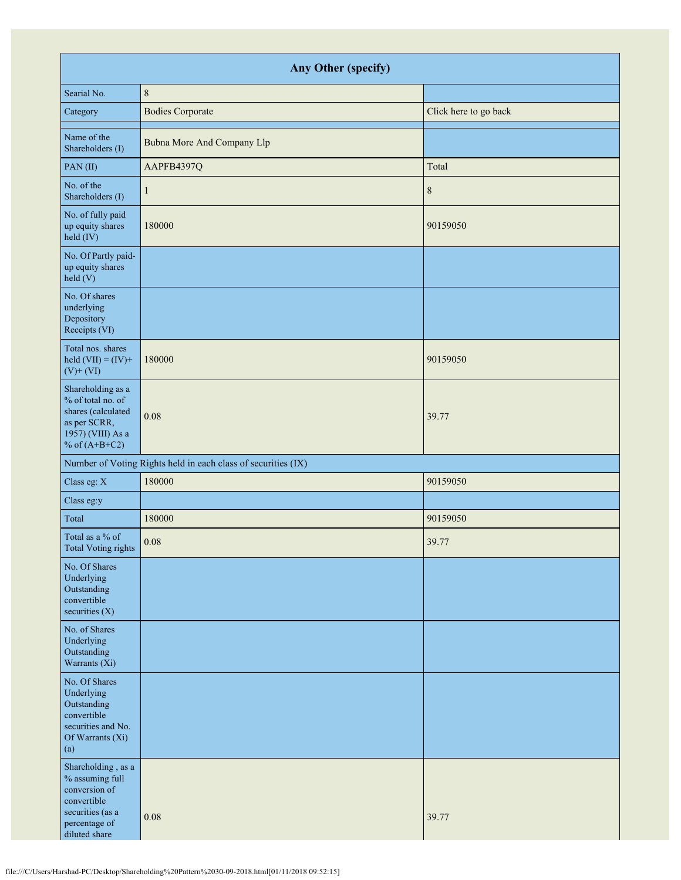| Any Other (specify)                                                                                                         |                                                               |                       |  |  |  |  |  |  |
|-----------------------------------------------------------------------------------------------------------------------------|---------------------------------------------------------------|-----------------------|--|--|--|--|--|--|
| Searial No.                                                                                                                 | $\,$ $\,$                                                     |                       |  |  |  |  |  |  |
| Category                                                                                                                    | <b>Bodies Corporate</b>                                       | Click here to go back |  |  |  |  |  |  |
| Name of the<br>Shareholders (I)                                                                                             | Bubna More And Company Llp                                    |                       |  |  |  |  |  |  |
| PAN(II)                                                                                                                     | AAPFB4397Q                                                    | Total                 |  |  |  |  |  |  |
| No. of the<br>Shareholders (I)                                                                                              | 1                                                             | $\,$ 8 $\,$           |  |  |  |  |  |  |
| No. of fully paid<br>up equity shares<br>held (IV)                                                                          | 180000                                                        | 90159050              |  |  |  |  |  |  |
| No. Of Partly paid-<br>up equity shares<br>held(V)                                                                          |                                                               |                       |  |  |  |  |  |  |
| No. Of shares<br>underlying<br>Depository<br>Receipts (VI)                                                                  |                                                               |                       |  |  |  |  |  |  |
| Total nos. shares<br>held $(VII) = (IV) +$<br>$(V)$ + $(VI)$                                                                | 180000                                                        | 90159050              |  |  |  |  |  |  |
| Shareholding as a<br>% of total no. of<br>shares (calculated<br>as per SCRR,<br>1957) (VIII) As a<br>% of $(A+B+C2)$        | 0.08                                                          | 39.77                 |  |  |  |  |  |  |
|                                                                                                                             | Number of Voting Rights held in each class of securities (IX) |                       |  |  |  |  |  |  |
| Class eg: X                                                                                                                 | 180000                                                        | 90159050              |  |  |  |  |  |  |
| Class eg:y                                                                                                                  |                                                               |                       |  |  |  |  |  |  |
| Total                                                                                                                       | 180000                                                        | 90159050              |  |  |  |  |  |  |
| Total as a % of<br>Total Voting rights                                                                                      | 0.08                                                          | 39.77                 |  |  |  |  |  |  |
| No. Of Shares<br>Underlying<br>Outstanding<br>convertible<br>securities $(X)$                                               |                                                               |                       |  |  |  |  |  |  |
| No. of Shares<br>Underlying<br>Outstanding<br>Warrants (Xi)                                                                 |                                                               |                       |  |  |  |  |  |  |
| No. Of Shares<br>Underlying<br>Outstanding<br>convertible<br>securities and No.<br>Of Warrants (Xi)<br>(a)                  |                                                               |                       |  |  |  |  |  |  |
| Shareholding, as a<br>% assuming full<br>conversion of<br>convertible<br>securities (as a<br>percentage of<br>diluted share | 0.08                                                          | 39.77                 |  |  |  |  |  |  |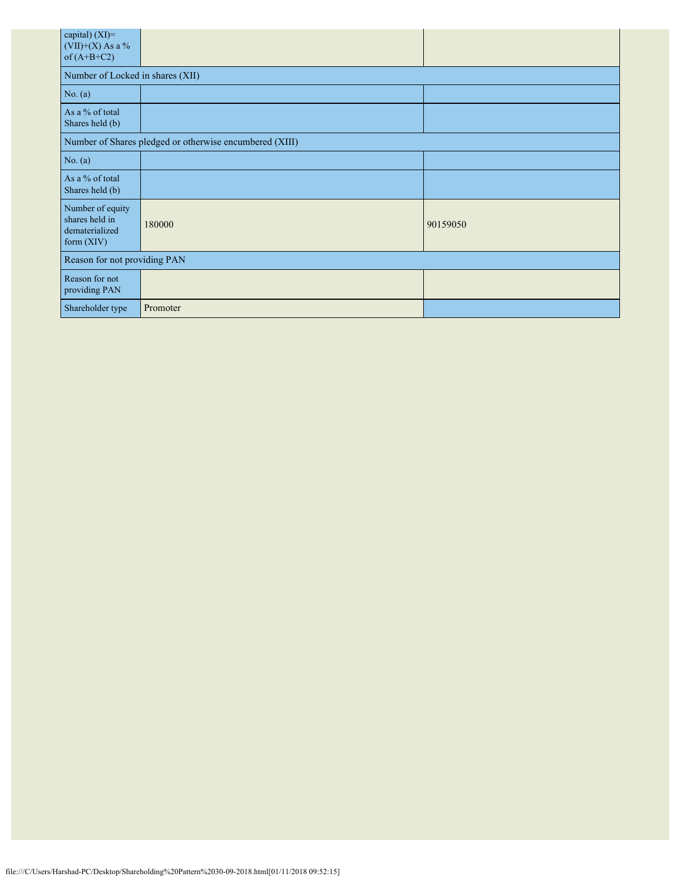| capital) (XI)=<br>$(VII)+(X)$ As a %<br>of $(A+B+C2)$                |          |          |  |  |  |  |  |  |
|----------------------------------------------------------------------|----------|----------|--|--|--|--|--|--|
| Number of Locked in shares (XII)                                     |          |          |  |  |  |  |  |  |
| No. (a)                                                              |          |          |  |  |  |  |  |  |
| As a % of total<br>Shares held (b)                                   |          |          |  |  |  |  |  |  |
| Number of Shares pledged or otherwise encumbered (XIII)              |          |          |  |  |  |  |  |  |
| No. $(a)$                                                            |          |          |  |  |  |  |  |  |
| As a % of total<br>Shares held (b)                                   |          |          |  |  |  |  |  |  |
| Number of equity<br>shares held in<br>dematerialized<br>form $(XIV)$ | 180000   | 90159050 |  |  |  |  |  |  |
| Reason for not providing PAN                                         |          |          |  |  |  |  |  |  |
| Reason for not<br>providing PAN                                      |          |          |  |  |  |  |  |  |
| Shareholder type                                                     | Promoter |          |  |  |  |  |  |  |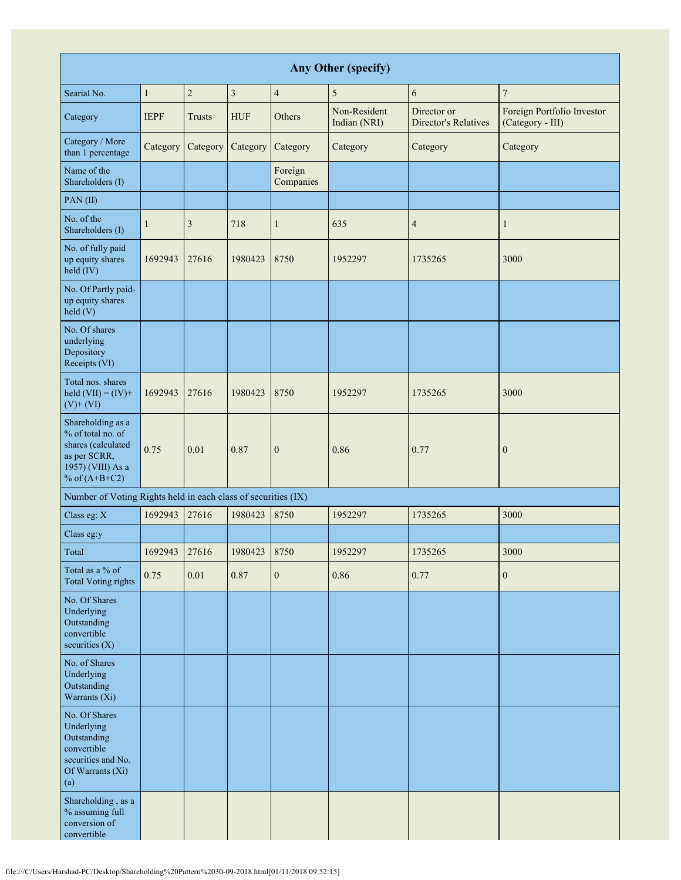| Any Other (specify)                                                                                                  |              |                |                         |                      |                              |                                            |                                                |
|----------------------------------------------------------------------------------------------------------------------|--------------|----------------|-------------------------|----------------------|------------------------------|--------------------------------------------|------------------------------------------------|
| Searial No.                                                                                                          | $\mathbf{1}$ | $\overline{c}$ | $\overline{\mathbf{3}}$ | $\overline{4}$       | 5                            | 6                                          | $\overline{7}$                                 |
| Category                                                                                                             | <b>IEPF</b>  | Trusts         | <b>HUF</b>              | Others               | Non-Resident<br>Indian (NRI) | Director or<br><b>Director's Relatives</b> | Foreign Portfolio Investor<br>(Category - III) |
| Category / More<br>than 1 percentage                                                                                 | Category     | Category       | Category                | Category             | Category                     | Category                                   | Category                                       |
| Name of the<br>Shareholders (I)                                                                                      |              |                |                         | Foreign<br>Companies |                              |                                            |                                                |
| PAN(II)                                                                                                              |              |                |                         |                      |                              |                                            |                                                |
| No. of the<br>Shareholders (I)                                                                                       | 1            | 3              | 718                     | $\mathbf{1}$         | 635                          | $\overline{4}$                             | 1                                              |
| No. of fully paid<br>up equity shares<br>held (IV)                                                                   | 1692943      | 27616          | 1980423                 | 8750                 | 1952297                      | 1735265                                    | 3000                                           |
| No. Of Partly paid-<br>up equity shares<br>$\text{held}$ (V)                                                         |              |                |                         |                      |                              |                                            |                                                |
| No. Of shares<br>underlying<br>Depository<br>Receipts (VI)                                                           |              |                |                         |                      |                              |                                            |                                                |
| Total nos. shares<br>held $(VII) = (IV) +$<br>$(V)$ + $(VI)$                                                         | 1692943      | 27616          | 1980423                 | 8750                 | 1952297                      | 1735265                                    | 3000                                           |
| Shareholding as a<br>% of total no. of<br>shares (calculated<br>as per SCRR,<br>1957) (VIII) As a<br>% of $(A+B+C2)$ | 0.75         | 0.01           | 0.87                    | $\mathbf{0}$         | 0.86                         | 0.77                                       | $\boldsymbol{0}$                               |
| Number of Voting Rights held in each class of securities (IX)                                                        |              |                |                         |                      |                              |                                            |                                                |
| Class eg: X                                                                                                          | 1692943      | 27616          | 1980423                 | 8750                 | 1952297                      | 1735265                                    | 3000                                           |
| Class eg:y                                                                                                           |              |                |                         |                      |                              |                                            |                                                |
| Total                                                                                                                | 1692943      | 27616          | 1980423                 | 8750                 | 1952297                      | 1735265                                    | 3000                                           |
| Total as a % of<br><b>Total Voting rights</b>                                                                        | 0.75         | $0.01\,$       | 0.87                    | $\mathbf{0}$         | 0.86                         | 0.77                                       | $\boldsymbol{0}$                               |
| No. Of Shares<br>Underlying<br>Outstanding<br>convertible<br>securities $(X)$                                        |              |                |                         |                      |                              |                                            |                                                |
| No. of Shares<br>Underlying<br>Outstanding<br>Warrants (Xi)                                                          |              |                |                         |                      |                              |                                            |                                                |
| No. Of Shares<br>Underlying<br>Outstanding<br>convertible<br>securities and No.<br>Of Warrants (Xi)<br>(a)           |              |                |                         |                      |                              |                                            |                                                |
| Shareholding, as a<br>% assuming full<br>conversion of<br>convertible                                                |              |                |                         |                      |                              |                                            |                                                |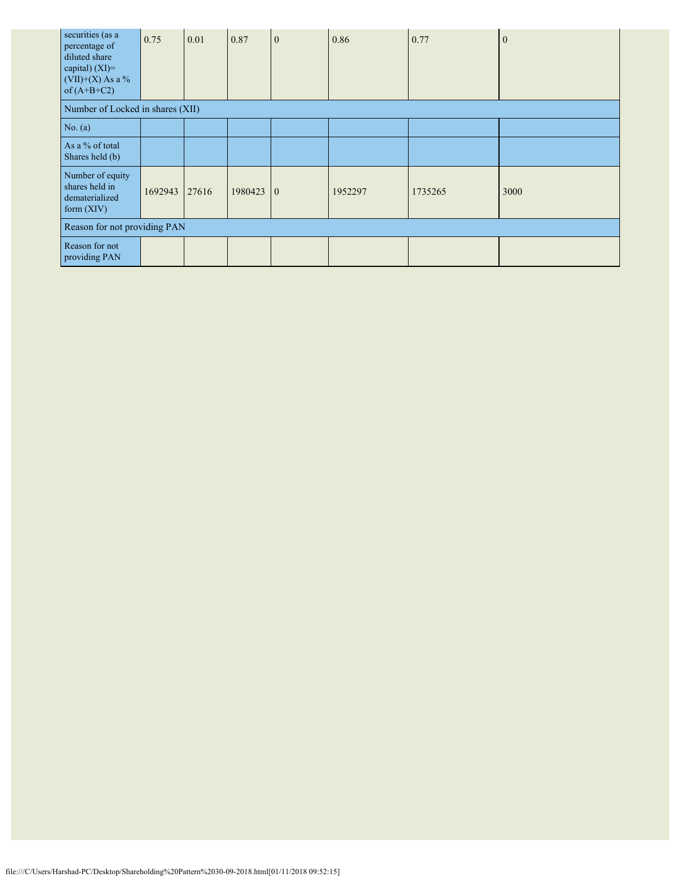| securities (as a<br>percentage of<br>diluted share<br>capital) $(XI)=$<br>$(VII)+(X)$ As a %<br>of $(A+B+C2)$ | 0.75    | 0.01  | 0.87        | $\mathbf{0}$ | 0.86    | 0.77    | $\Omega$ |
|---------------------------------------------------------------------------------------------------------------|---------|-------|-------------|--------------|---------|---------|----------|
| Number of Locked in shares (XII)                                                                              |         |       |             |              |         |         |          |
| No. $(a)$                                                                                                     |         |       |             |              |         |         |          |
| As a % of total<br>Shares held (b)                                                                            |         |       |             |              |         |         |          |
| Number of equity<br>shares held in<br>dematerialized<br>form $(XIV)$                                          | 1692943 | 27616 | $1980423$ 0 |              | 1952297 | 1735265 | 3000     |
| Reason for not providing PAN                                                                                  |         |       |             |              |         |         |          |
| Reason for not<br>providing PAN                                                                               |         |       |             |              |         |         |          |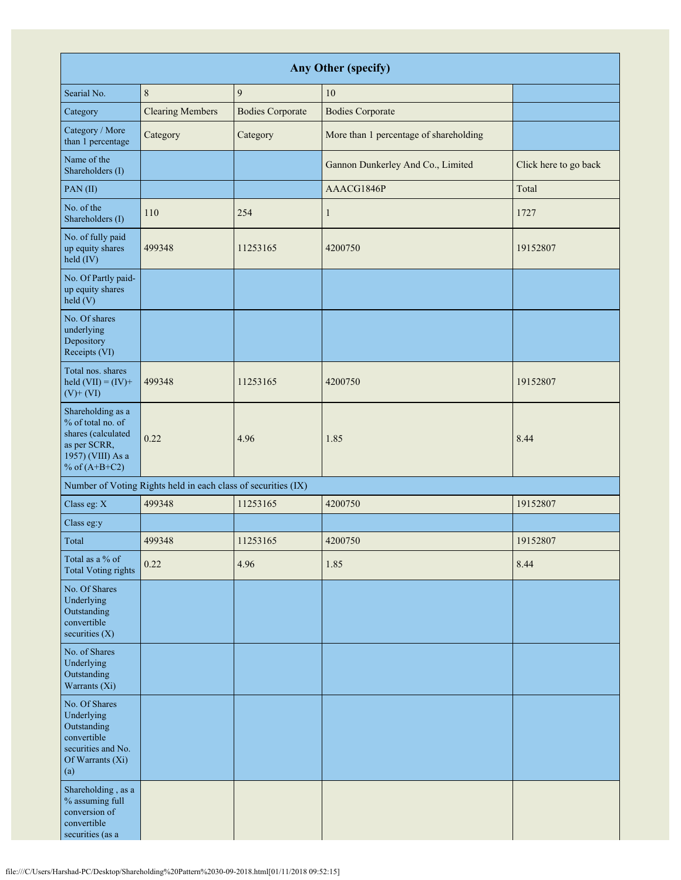| <b>Any Other (specify)</b>                                                                                               |                                                               |                         |                                        |                       |  |  |  |  |
|--------------------------------------------------------------------------------------------------------------------------|---------------------------------------------------------------|-------------------------|----------------------------------------|-----------------------|--|--|--|--|
| Searial No.                                                                                                              | $\,$ 8 $\,$                                                   | $\mathbf{9}$            | 10                                     |                       |  |  |  |  |
| Category                                                                                                                 | <b>Clearing Members</b>                                       | <b>Bodies Corporate</b> | <b>Bodies Corporate</b>                |                       |  |  |  |  |
| Category / More<br>than 1 percentage                                                                                     | Category                                                      | Category                | More than 1 percentage of shareholding |                       |  |  |  |  |
| Name of the<br>Shareholders (I)                                                                                          |                                                               |                         | Gannon Dunkerley And Co., Limited      | Click here to go back |  |  |  |  |
| PAN(II)                                                                                                                  |                                                               |                         | AAACG1846P                             | Total                 |  |  |  |  |
| No. of the<br>Shareholders (I)                                                                                           | 110                                                           | 254                     | $\mathbf{1}$                           | 1727                  |  |  |  |  |
| No. of fully paid<br>up equity shares<br>held (IV)                                                                       | 499348                                                        | 11253165                | 4200750                                | 19152807              |  |  |  |  |
| No. Of Partly paid-<br>up equity shares<br>held(V)                                                                       |                                                               |                         |                                        |                       |  |  |  |  |
| No. Of shares<br>underlying<br>Depository<br>Receipts (VI)                                                               |                                                               |                         |                                        |                       |  |  |  |  |
| Total nos. shares<br>held $(VII) = (IV) +$<br>$(V)$ + $(VI)$                                                             | 499348                                                        | 11253165                | 4200750                                | 19152807              |  |  |  |  |
| Shareholding as a<br>% of total no. of<br>shares (calculated<br>as per SCRR,<br>1957) (VIII) As a<br>% of $(A+B+C2)$     | 0.22                                                          | 4.96                    | 1.85                                   | 8.44                  |  |  |  |  |
|                                                                                                                          | Number of Voting Rights held in each class of securities (IX) |                         |                                        |                       |  |  |  |  |
| Class eg: X                                                                                                              | 499348                                                        | 11253165                | 4200750                                | 19152807              |  |  |  |  |
| Class eg:y                                                                                                               |                                                               |                         |                                        |                       |  |  |  |  |
| Total                                                                                                                    | 499348                                                        | 11253165                | 4200750                                | 19152807              |  |  |  |  |
| Total as a % of<br><b>Total Voting rights</b>                                                                            | 0.22                                                          | 4.96                    | 1.85                                   | 8.44                  |  |  |  |  |
| No. Of Shares<br>Underlying<br>Outstanding<br>convertible<br>securities $(X)$                                            |                                                               |                         |                                        |                       |  |  |  |  |
| No. of Shares<br>Underlying<br>Outstanding<br>Warrants (Xi)                                                              |                                                               |                         |                                        |                       |  |  |  |  |
| No. Of Shares<br>Underlying<br>Outstanding<br>convertible<br>securities and No.<br>Of Warrants (Xi)<br>$\left( a\right)$ |                                                               |                         |                                        |                       |  |  |  |  |
| Shareholding, as a<br>% assuming full<br>conversion of<br>convertible<br>securities (as a                                |                                                               |                         |                                        |                       |  |  |  |  |